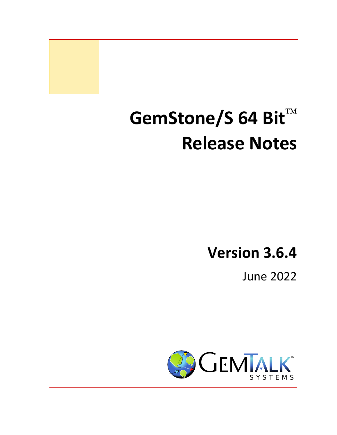# **GemStone/S 64 Bit**™ **Release Notes**

**Version 3.6.4**

June 2022

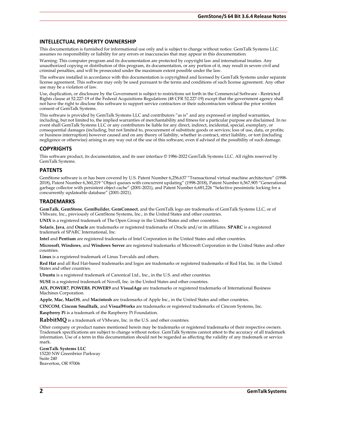#### **INTELLECTUAL PROPERTY OWNERSHIP**

This documentation is furnished for informational use only and is subject to change without notice. GemTalk Systems LLC assumes no responsibility or liability for any errors or inaccuracies that may appear in this documentation.

Warning: This computer program and its documentation are protected by copyright law and international treaties. Any unauthorized copying or distribution of this program, its documentation, or any portion of it, may result in severe civil and criminal penalties, and will be prosecuted under the maximum extent possible under the law.

The software installed in accordance with this documentation is copyrighted and licensed by GemTalk Systems under separate license agreement. This software may only be used pursuant to the terms and conditions of such license agreement. Any other use may be a violation of law.

Use, duplication, or disclosure by the Government is subject to restrictions set forth in the Commercial Software - Restricted Rights clause at 52.227-19 of the Federal Acquisitions Regulations (48 CFR 52.227-19) except that the government agency shall not have the right to disclose this software to support service contractors or their subcontractors without the prior written consent of GemTalk Systems.

This software is provided by GemTalk Systems LLC and contributors "as is" and any expressed or implied warranties, including, but not limited to, the implied warranties of merchantability and fitness for a particular purpose are disclaimed. In no event shall GemTalk Systems LLC or any contributors be liable for any direct, indirect, incidental, special, exemplary, or consequential damages (including, but not limited to, procurement of substitute goods or services; loss of use, data, or profits; or business interruption) however caused and on any theory of liability, whether in contract, strict liability, or tort (including negligence or otherwise) arising in any way out of the use of this software, even if advised of the possibility of such damage.

#### **COPYRIGHTS**

This software product, its documentation, and its user interface © 1986-2022 GemTalk Systems LLC. All rights reserved by GemTalk Systems.

#### **PATENTS**

GemStone software is or has been covered by U.S. Patent Number 6,256,637 "Transactional virtual machine architecture" (1998- 2018), Patent Number 6,360,219 "Object queues with concurrent updating" (1998-2018), Patent Number 6,567,905 "Generational garbage collector with persistent object cache" (2001-2021), and Patent Number 6,681,226 "Selective pessimistic locking for a concurrently updateable database" (2001-2021).

#### **TRADEMARKS**

**GemTalk**, **GemStone**, **GemBuilder**, **GemConnect**, and the GemTalk logo are trademarks of GemTalk Systems LLC, or of VMware, Inc., previously of GemStone Systems, Inc., in the United States and other countries.

**UNIX** is a registered trademark of The Open Group in the United States and other countries.

**Solaris**, **Java**, and **Oracle** are trademarks or registered trademarks of Oracle and/or its affiliates. **SPARC** is a registered trademark of SPARC International, Inc.

**Intel** and **Pentium** are registered trademarks of Intel Corporation in the United States and other countries.

**Microsoft**, **Windows**, and **Windows Server** are registered trademarks of Microsoft Corporation in the United States and other countries.

**Linux** is a registered trademark of Linus Torvalds and others.

**Red Hat** and all Red Hat-based trademarks and logos are trademarks or registered trademarks of Red Hat, Inc. in the United States and other countries.

**Ubuntu** is a registered trademark of Canonical Ltd., Inc., in the U.S. and other countries.

**SUSE** is a registered trademark of Novell, Inc. in the United States and other countries.

**AIX**, **POWER7**, **POWER8**, **POWER9** and **VisualAge** are trademarks or registered trademarks of International Business Machines Corporation.

**Apple**, **Mac**, **MacOS**, and **Macintosh** are trademarks of Apple Inc., in the United States and other countries.

**CINCOM**, **Cincom Smalltalk**, and **VisualWorks** are trademarks or registered trademarks of Cincom Systems, Inc.

**Raspberry Pi** is a trademark of the Raspberry Pi Foundation.

**RabbitMQ** is a trademark of VMware, Inc. in the U.S. and other countries.

Other company or product names mentioned herein may be trademarks or registered trademarks of their respective owners. Trademark specifications are subject to change without notice. GemTalk Systems cannot attest to the accuracy of all trademark information. Use of a term in this documentation should not be regarded as affecting the validity of any trademark or service mark.

**GemTalk Systems LLC** 15220 NW Greenbrier Parkway Suite 240 Beaverton, OR 97006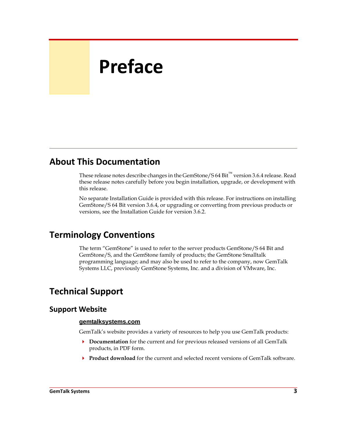# **Preface**

# **About This Documentation**

These release notes describe changes in the GemStone/S 64 Bit™ version 3.6.4 release. Read these release notes carefully before you begin installation, upgrade, or development with this release.

No separate Installation Guide is provided with this release. For instructions on installing GemStone/S 64 Bit version 3.6.4, or upgrading or converting from previous products or versions, see the Installation Guide for version 3.6.2.

# **Terminology Conventions**

The term "GemStone" is used to refer to the server products GemStone/S 64 Bit and GemStone/S, and the GemStone family of products; the GemStone Smalltalk programming language; and may also be used to refer to the company, now GemTalk Systems LLC, previously GemStone Systems, Inc. and a division of VMware, Inc.

# **Technical Support**

## **Support Website**

#### **[gemtalksystems.com](https://gemtalksystems.com)**

GemTalk's website provides a variety of resources to help you use GemTalk products:

- **Documentation** for the current and for previous released versions of all GemTalk products, in PDF form.
- **Product download** for the current and selected recent versions of GemTalk software.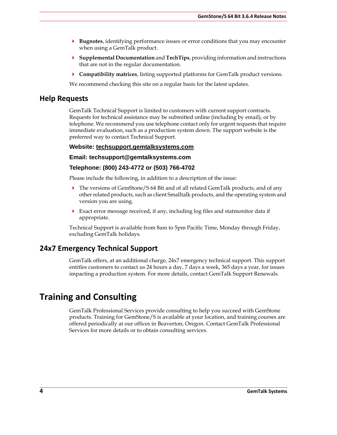- **Bugnotes**, identifying performance issues or error conditions that you may encounter when using a GemTalk product.
- **Supplemental Documentation** and **TechTips**, providing information and instructions that are not in the regular documentation.
- **Compatibility matrices**, listing supported platforms for GemTalk product versions.

We recommend checking this site on a regular basis for the latest updates.

#### **Help Requests**

GemTalk Technical Support is limited to customers with current support contracts. Requests for technical assistance may be submitted online (including by email), or by telephone. We recommend you use telephone contact only for urgent requests that require immediate evaluation, such as a production system down. The support website is the preferred way to contact Technical Support.

#### **Website: [techsupport.gemtalksystems.com](http://techsupport.gemtalksystems.com)**

#### **Email: techsupport@gemtalksystems.com**

#### **Telephone: (800) 243-4772 or (503) 766-4702**

Please include the following, in addition to a description of the issue:

- The versions of GemStone/S 64 Bit and of all related GemTalk products, and of any other related products, such as client Smalltalk products, and the operating system and version you are using.
- Exact error message received, if any, including log files and statmonitor data if appropriate.

Technical Support is available from 8am to 5pm Pacific Time, Monday through Friday, excluding GemTalk holidays.

## **24x7 Emergency Technical Support**

GemTalk offers, at an additional charge, 24x7 emergency technical support. This support entitles customers to contact us 24 hours a day, 7 days a week, 365 days a year, for issues impacting a production system. For more details, contact GemTalk Support Renewals.

## **Training and Consulting**

GemTalk Professional Services provide consulting to help you succeed with GemStone products. Training for GemStone/S is available at your location, and training courses are offered periodically at our offices in Beaverton, Oregon. Contact GemTalk Professional Services for more details or to obtain consulting services.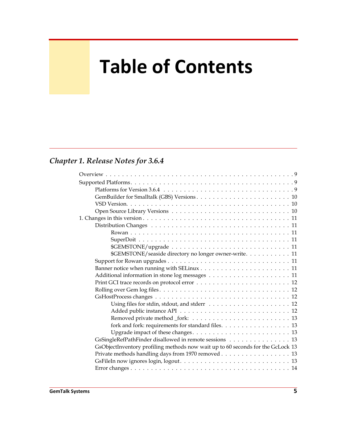# **Table of Contents**

# *Chapter [1. Release Notes for 3.6.4](#page-8-0)*

| \$GEMSTONE/seaside directory no longer owner-write. 11                          |
|---------------------------------------------------------------------------------|
|                                                                                 |
|                                                                                 |
|                                                                                 |
|                                                                                 |
|                                                                                 |
|                                                                                 |
|                                                                                 |
|                                                                                 |
|                                                                                 |
| fork and fork: requirements for standard files. 13                              |
|                                                                                 |
| GsSingleRefPathFinder disallowed in remote sessions 13                          |
| GsObjectInventory profiling methods now wait up to 60 seconds for the GcLock 13 |
| Private methods handling days from 1970 removed 13                              |
|                                                                                 |
|                                                                                 |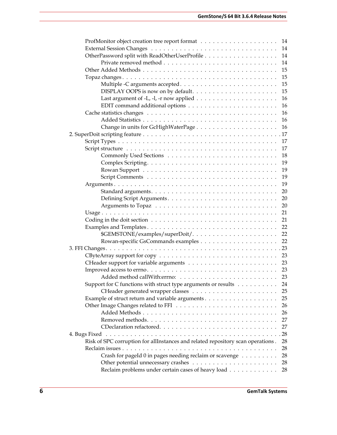|                                                                                           | 14 |
|-------------------------------------------------------------------------------------------|----|
|                                                                                           | 14 |
|                                                                                           | 14 |
|                                                                                           | 14 |
|                                                                                           | 15 |
|                                                                                           | 15 |
|                                                                                           | 15 |
|                                                                                           | 15 |
| Last argument of -L, -l, -r now applied $\dots \dots \dots \dots \dots \dots \dots \dots$ | 16 |
|                                                                                           | 16 |
|                                                                                           | 16 |
|                                                                                           | 16 |
|                                                                                           | 16 |
|                                                                                           |    |
|                                                                                           | 17 |
|                                                                                           | 17 |
|                                                                                           | 18 |
|                                                                                           | 19 |
|                                                                                           | 19 |
|                                                                                           | 19 |
|                                                                                           | 19 |
|                                                                                           | 20 |
|                                                                                           | 20 |
|                                                                                           |    |
|                                                                                           | 20 |
|                                                                                           | 21 |
|                                                                                           | 21 |
|                                                                                           | 22 |
| \$GEMSTONE/examples/superDoit/                                                            | 22 |
|                                                                                           | 22 |
|                                                                                           |    |
|                                                                                           | 23 |
|                                                                                           | 23 |
|                                                                                           |    |
|                                                                                           |    |
| Support for C functions with struct type arguments or results                             | 24 |
|                                                                                           | 25 |
| Example of struct return and variable arguments                                           | 25 |
|                                                                                           | 26 |
|                                                                                           | 26 |
|                                                                                           | 27 |
|                                                                                           | 27 |
|                                                                                           | 28 |
| Risk of SPC corruption for allInstances and related repository scan operations.           | 28 |
|                                                                                           | 28 |
| Crash for pageId 0 in pages needing reclaim or scavenge                                   | 28 |
|                                                                                           | 28 |
| Reclaim problems under certain cases of heavy load                                        | 28 |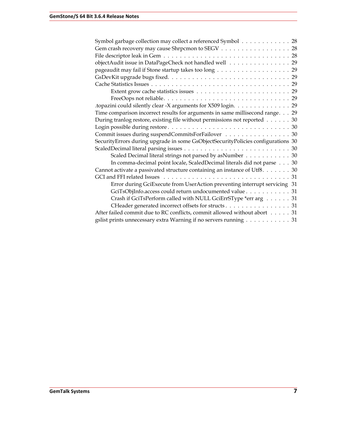| Symbol garbage collection may collect a referenced Symbol 28                     |  |
|----------------------------------------------------------------------------------|--|
| Gem crash recovery may cause Shrpcmon to SEGV 28                                 |  |
|                                                                                  |  |
| objectAudit issue in DataPageCheck not handled well 29                           |  |
|                                                                                  |  |
|                                                                                  |  |
|                                                                                  |  |
|                                                                                  |  |
|                                                                                  |  |
| topazini could silently clear -X arguments for X509 login. 29                    |  |
| Time comparison incorrect results for arguments in same millisecond range. 29    |  |
| During tranlog restore, existing file without permissions not reported 30        |  |
|                                                                                  |  |
| Commit issues during suspendCommitsForFailover 30                                |  |
| SecurityErrors during upgrade in some GsObjectSecurityPolicies configurations 30 |  |
|                                                                                  |  |
| Scaled Decimal literal strings not parsed by asNumber 30                         |  |
| In comma-decimal point locale, ScaledDecimal literals did not parse 30           |  |
| Cannot activate a passivated structure containing an instance of Utf8. 30        |  |
|                                                                                  |  |
| Error during GciExecute from UserAction preventing interrupt servicing 31        |  |
| GciTsObjInfo.access could return undocumented value 31                           |  |
| Crash if GciTsPerform called with NULL GciErrSType *err arg 31                   |  |
|                                                                                  |  |
| After failed commit due to RC conflicts, commit allowed without abort 31         |  |
| gslist prints unnecessary extra Warning if no servers running 31                 |  |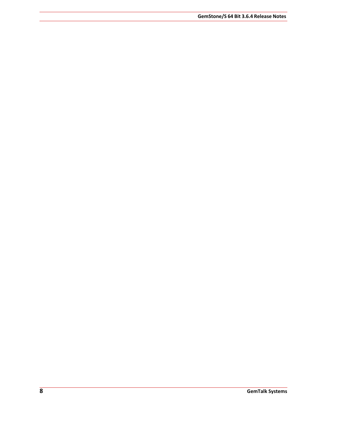**GemStone/S 64 Bit 3.6.4 Release Notes**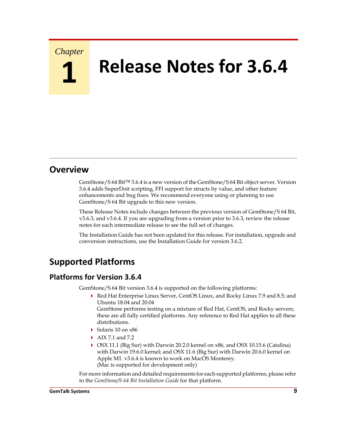<span id="page-8-0"></span>*Chapter*

# **1 Release Notes for 3.6.4**

## <span id="page-8-1"></span>**Overview**

GemStone/S 64 Bit™ 3.6.4 is a new version of the GemStone/S 64 Bit object server. Version 3.6.4 adds SuperDoit scripting, FFI support for structs by value, and other feature enhancements and bug fixes. We recommend everyone using or planning to use GemStone/S 64 Bit upgrade to this new version.

These Release Notes include changes between the previous version of GemStone/S 64 Bit, v3.6.3, and v3.6.4. If you are upgrading from a version prior to 3.6.3, review the release notes for each intermediate release to see the full set of changes.

The Installation Guide has not been updated for this release. For installation, upgrade and conversion instructions, use the Installation Guide for version 3.6.2.

# <span id="page-8-2"></span>**Supported Platforms**

## <span id="page-8-3"></span>**Platforms for Version 3.6.4**

GemStone/S 64 Bit version 3.6.4 is supported on the following platforms:

 Red Hat Enterprise Linux Server, CentOS Linux, and Rocky Linux 7.9 and 8.5; and Ubuntu 18.04 and 20.04

GemStone performs testing on a mixture of Red Hat, CentOS, and Rocky servers; these are all fully certified platforms. Any reference to Red Hat applies to all these distributions.

- $\triangleright$  Solaris 10 on x86
- $\blacktriangleright$  AIX 7.1 and 7.2
- OSX 11.1 (Big Sur) with Darwin 20.2.0 kernel on x86, and OSX 10.15.6 (Catalina) with Darwin 19.6.0 kernel; and OSX 11.6 (Big Sur) with Darwin 20.6.0 kernel on Apple M1. v3.6.4 is known to work on MacOS Monterey. (Mac is supported for development only)

For more information and detailed requirements for each supported platforms, please refer to the *GemStone/S 64 Bit Installation Guide* for that platform.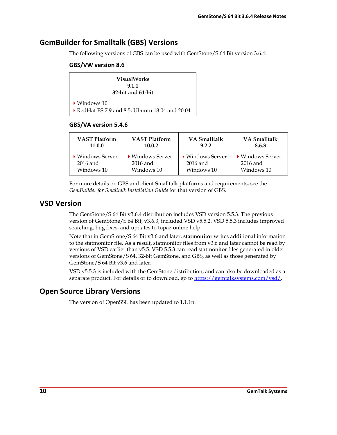## <span id="page-9-0"></span>**GemBuilder for Smalltalk (GBS) Versions**

The following versions of GBS can be used with GemStone/S 64 Bit version 3.6.4:

## **GBS/VW version 8.6**

|                             | <b>VisualWorks</b><br>9.1.1<br>32-bit and 64-bit |
|-----------------------------|--------------------------------------------------|
| $\triangleright$ Windows 10 | RedHat ES 7.9 and 8.5; Ubuntu 18.04 and 20.04    |

#### **GBS/VA version 5.4.6**

| <b>VAST Platform</b>                 | <b>VAST Platform</b> | <b>VA Smalltalk</b> | <b>VA Smalltalk</b> |
|--------------------------------------|----------------------|---------------------|---------------------|
| 11.0.0                               | 10.0.2               | 9.2.2               | 8.6.3               |
| $\blacktriangleright$ Windows Server | ▶ Windows Server     | ▶ Windows Server    | ▶ Windows Server    |
| 2016 and                             | 2016 and             | 2016 and            | 2016 and            |
| Windows 10                           | Windows 10           | Windows 10          | Windows 10          |

For more details on GBS and client Smalltalk platforms and requirements, see the *GemBuilder for Smalltalk Installation Guide* for that version of GBS.

## <span id="page-9-1"></span>**VSD Version**

The GemStone/S 64 Bit v3.6.4 distribution includes VSD version 5.5.3. The previous version of GemStone/S 64 Bit, v3.6.3, included VSD v5.5.2. VSD 5.5.3 includes improved searching, bug fixes, and updates to topaz online help.

Note that in GemStone/S 64 Bit v3.6 and later, **statmonitor** writes additional information to the statmonitor file. As a result, statmonitor files from v3.6 and later cannot be read by versions of VSD earlier than v5.5. VSD 5.5.3 can read statmonitor files generated in older versions of GemStone/S 64, 32-bit GemStone, and GBS, as well as those generated by GemStone/S 64 Bit v3.6 and later.

VSD v5.5.3 is included with the GemStone distribution, and can also be downloaded as a separate product. For details or to download, go to<https://gemtalksystems.com/vsd/>.

## <span id="page-9-2"></span>**Open Source Library Versions**

The version of OpenSSL has been updated to 1.1.1n.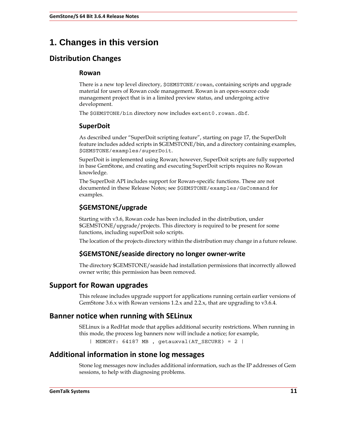# <span id="page-10-0"></span>**1. Changes in this version**

## <span id="page-10-1"></span>**Distribution Changes**

### <span id="page-10-2"></span>**Rowan**

There is a new top level directory, \$GEMSTONE/rowan, containing scripts and upgrade material for users of Rowan code management. Rowan is an open-source code management project that is in a limited preview status, and undergoing active development.

The \$GEMSTONE/bin directory now includes extent0.rowan.dbf.

## <span id="page-10-3"></span>**SuperDoit**

As described under ["SuperDoit scripting feature", starting on page](#page-16-0) 17, the SuperDoIt feature includes added scripts in \$GEMSTONE/bin, and a directory containing examples, \$GEMSTONE/examples/superDoit.

SuperDoit is implemented using Rowan; however, SuperDoit scripts are fully supported in base GemStone, and creating and executing SuperDoit scripts requires no Rowan knowledge.

The SuperDoit API includes support for Rowan-specific functions. These are not documented in these Release Notes; see \$GEMSTONE/examples/GsCommand for examples.

## <span id="page-10-4"></span>**\$GEMSTONE/upgrade**

Starting with v3.6, Rowan code has been included in the distribution, under \$GEMSTONE/upgrade/projects. This directory is required to be present for some functions, including superDoit solo scripts.

The location of the projects directory within the distribution may change in a future release.

## <span id="page-10-5"></span>**\$GEMSTONE/seaside directory no longer owner-write**

The directory \$GEMSTONE/seaside had installation permissions that incorrectly allowed owner write; this permission has been removed.

## <span id="page-10-6"></span>**Support for Rowan upgrades**

This release includes upgrade support for applications running certain earlier versions of GemStone 3.6.x with Rowan versions 1.2.x and 2.2.x, that are upgrading to v3.6.4.

## <span id="page-10-7"></span>**Banner notice when running with SELinux**

SELinux is a RedHat mode that applies additional security restrictions. When running in this mode, the process log banners now will include a notice; for example,

| MEMORY: 64187 MB , getauxval(AT\_SECURE) = 2 |

## <span id="page-10-8"></span>**Additional information in stone log messages**

Stone log messages now includes additional information, such as the IP addresses of Gem sessions, to help with diagnosing problems.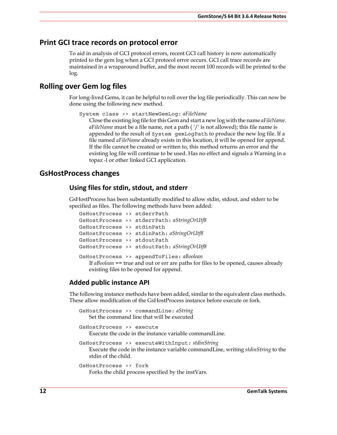## <span id="page-11-0"></span>**Print GCI trace records on protocol error**

To aid in analysis of GCI protocol errors, recent GCI call history is now automatically printed to the gem log when a GCI protocol error occurs. GCI call trace records are maintained in a wraparound buffer, and the most recent 100 records will be printed to the log.

## <span id="page-11-1"></span>**Rolling over Gem log files**

For long-lived Gems, it can be helpful to roll over the log file periodically. This can now be done using the following new method.

System class >> startNewGemLog: *aFileName*

Close the existing log file for this Gem and start a new log with the name *aFileName*. *aFileName* must be a file name, not a path ( '/' is not allowed); this file name is appended to the result of System gemLogPath to produce the new log file. If a file named *aFileName* already exists in this location, it will be opened for append. If the file cannot be created or written to, this method returns an error and the existing log file will continue to be used. Has no effect and signals a Warning in a topaz -l or other linked GCI application.

## <span id="page-11-2"></span>**GsHostProcess changes**

### <span id="page-11-3"></span>**Using files for stdin, stdout, and stderr**

GsHostProcess has been substantially modified to allow stdin, stdout, and stderr to be specified as files. The following methods have been added:

| GsHostProcess >> stderrPath |                                                                                                                                                                                |
|-----------------------------|--------------------------------------------------------------------------------------------------------------------------------------------------------------------------------|
|                             | GsHostProcess >> stderrPath: aStringOrUtf8                                                                                                                                     |
| GsHostProcess >> stdinPath  |                                                                                                                                                                                |
|                             | GsHostProcess >> stdinPath: aStringOrUtf8                                                                                                                                      |
| GsHostProcess >> stdoutPath |                                                                                                                                                                                |
|                             | GsHostProcess >> stdoutPath: aStringOrUtf8                                                                                                                                     |
|                             | GsHostProcess >> appendToFiles: aBoolean<br>If $aBoolean == true$ and out or $err$ are paths for files to be opened, causes already<br>existing files to be opened for append. |

## <span id="page-11-4"></span>**Added public instance API**

The following instance methods have been added, similar to the equivalent class methods. These allow modification of the GsHostProcess instance before execute or fork.

```
GsHostProcess >> commandLine: aString
   Set the command line that will be executed
GsHostProcess >> execute
   Execute the code in the instance variable commandLine.
GsHostProcess >> executeWithInput: stdinString
   Execute the code in the instance variable commandLine, writing stdinString to the 
   stdin of the child.
GsHostProcess >> fork
   Forks the child process specified by the instVars.
```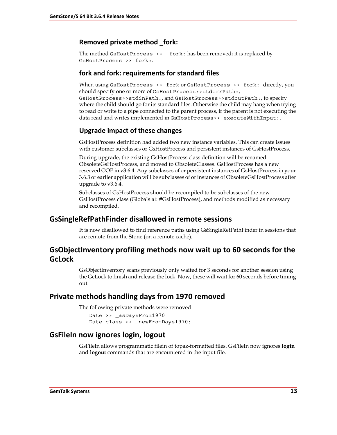## <span id="page-12-0"></span>**Removed private method \_fork:**

The method GsHostProcess  $\rightarrow$  \_fork: has been removed; it is replaced by GsHostProcess >> fork:.

### <span id="page-12-1"></span>**fork and fork: requirements for standard files**

When using GsHostProcess >> fork or GsHostProcess >> fork: directly, you should specify one or more of GsHostProcess>>stderrPath:,

GsHostProcess>>stdinPath:, and GsHostProcess>>stdoutPath:, to specify where the child should go for its standard files. Otherwise the child may hang when trying to read or write to a pipe connected to the parent process, if the parent is not executing the data read and writes implemented in GsHostProcess>>\_executeWithInput:.

## <span id="page-12-2"></span>**Upgrade impact of these changes**

GsHostProcess definition had added two new instance variables. This can create issues with customer subclasses or GsHostProcess and persistent instances of GsHostProcess.

During upgrade, the existing GsHostProcess class definition will be renamed ObsoleteGsHostProcess, and moved to ObsoleteClasses. GsHostProcess has a new reserved OOP in v3.6.4. Any subclasses of or persistent instances of GsHostProcess in your 3.6.3 or earlier application will be subclasses of or instances of ObsoleteGsHostProcess after upgrade to v3.6.4.

Subclasses of GsHostProcess should be recompiled to be subclasses of the new GsHostProcess class (Globals at: #GsHostProcess), and methods modified as necessary and recompiled.

## <span id="page-12-3"></span>**GsSingleRefPathFinder disallowed in remote sessions**

It is now disallowed to find reference paths using GsSingleRefPathFinder in sessions that are remote from the Stone (on a remote cache).

## <span id="page-12-4"></span>**GsObjectInventory profiling methods now wait up to 60 seconds for the GcLock**

GsObjectInventory scans previously only waited for 3 seconds for another session using the GcLock to finish and release the lock. Now, these will wait for 60 seconds before timing  $011<sup>+</sup>$ 

## <span id="page-12-5"></span>**Private methods handling days from 1970 removed**

The following private methods were removed

```
Date >> _asDaysFrom1970
Date class >> _newFromDays1970:
```
## <span id="page-12-6"></span>**GsFileIn now ignores login, logout**

GsFileIn allows programmatic filein of topaz-formatted files. GsFileIn now ignores **login** and **logout** commands that are encountered in the input file.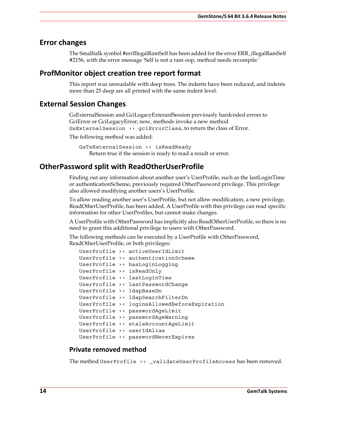## <span id="page-13-0"></span>**Error changes**

The Smalltalk symbol #errIllegalRamSelf has been added for the error ERR\_illegalRamSelf #2156, with the error message 'Self is not a ram oop, method needs recompile.'

## <span id="page-13-1"></span>**ProfMonitor object creation tree report format**

This report was unreadable with deep trees. The indents have been reduced, and indents more than 25 deep are all printed with the same indent level.

## <span id="page-13-2"></span>**External Session Changes**

GsExternalSession and GciLegacyExteranlSession previously hardcoded errors to GciError or GciLegacyError; now, methods invoke a new method GsExternalSession >> gciErrorClass, to return the class of Error.

The following method was added:

GsTsExternalSession >> isReadReady Return true if the session is ready to read a result or error.

## <span id="page-13-3"></span>**OtherPassword split with ReadOtherUserProfile**

Finding out any information about another user's UserProfile, such as the lastLoginTime or authenticationScheme, previously required OtherPassword privilege. This privilege also allowed modifying another users's UserProfile.

To allow reading another user's UserProfile, but not allow modification, a new privilege, ReadOtherUserProfile, has been added. A UserProfile with this privilege can read specific information for other UserProfiles, but cannot make changes.

A UserProfile with OtherPassword has implicitly also ReadOtherUserProfile, so there is no need to grant this additional privilege to users with OtherPassword.

The following methods can be executed by a UserProfile with OtherPassword, ReadOtherUserProfile, or both privileges:

```
UserProfile >> activeUserIdLimit
UserProfile >> authenticationScheme
UserProfile >> hasLoginLogging
UserProfile >> isReadOnly
UserProfile >> lastLoginTime
UserProfile >> lastPasswordChange
UserProfile >> ldapBaseDn
UserProfile >> ldapSearchFilterDn
UserProfile >> loginsAllowedBeforeExpiration
UserProfile >> passwordAgeLimit
UserProfile >> passwordAgeWarning
UserProfile >> staleAccountAgeLimit
UserProfile >> userIdAlias
UserProfile >> passwordNeverExpires
```
#### <span id="page-13-4"></span>**Private removed method**

The method UserProfile >> \_validateUserProfileAccess has been removed.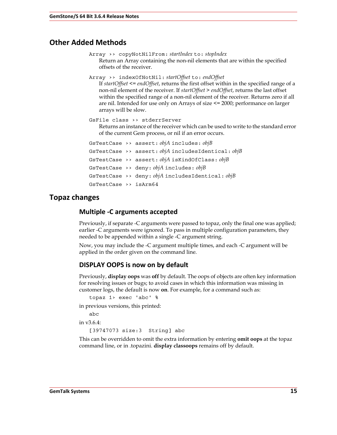## <span id="page-14-0"></span>**Other Added Methods**

Array >> copyNotNilFrom: *startIndex* to: *stopIndex* Return an Array containing the non-nil elements that are within the specified offsets of the receiver.

Array >> indexOfNotNil: *startOffset* to: *endOffset*

If *startOffset* <= *endOffset*, returns the first offset within in the specified range of a non-nil element of the receiver. If *startOffset* > *endOffset*, returns the last offset within the specified range of a non-nil element of the receiver. Returns zero if all are nil. Intended for use only on Arrays of size <= 2000; performance on larger arrays will be slow.

GsFile class >> stderrServer

Returns an instance of the receiver which can be used to write to the standard error of the current Gem process, or nil if an error occurs.

GsTestCase >> assert: *objA* includes: *objB* GsTestCase >> assert: *objA* includesIdentical: *objB* GsTestCase >> assert: *objA* isKindOfClass: *objB* GsTestCase >> deny: *objA* includes: *objB* GsTestCase >> deny: *objA* includesIdentical: *objB* GsTestCase >> isArm64

## <span id="page-14-1"></span>**Topaz changes**

## <span id="page-14-2"></span>**Multiple -C arguments accepted**

Previously, if separate -C arguments were passed to topaz, only the final one was applied; earlier -C arguments were ignored. To pass in multiple configuration parameters, they needed to be appended within a single -C argument string.

Now, you may include the -C argument multiple times, and each -C argument will be applied in the order given on the command line.

## <span id="page-14-3"></span>**DISPLAY OOPS is now on by default**

Previously, **display oops** was **off** by default. The oops of objects are often key information for resolving issues or bugs; to avoid cases in which this information was missing in customer logs, the default is now **on**. For example, for a command such as:

topaz 1> exec 'abc' %

in previous versions, this printed:

abc

in v3.6.4:

[39747073 size:3 String] abc

This can be overridden to omit the extra information by entering **omit oops** at the topaz command line, or in .topazini. **display classoops** remains off by default.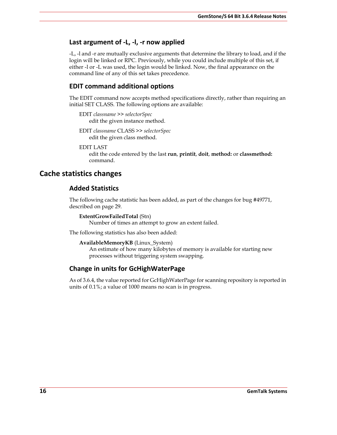## <span id="page-15-0"></span>**Last argument of -L, -l, -r now applied**

-L, -l and -r are mutually exclusive arguments that determine the library to load, and if the login will be linked or RPC. Previously, while you could include multiple of this set, if either -l or -L was used, the login would be linked. Now, the final appearance on the command line of any of this set takes precedence.

## <span id="page-15-1"></span>**EDIT command additional options**

The EDIT command now accepts method specifications directly, rather than requiring an initial SET CLASS. The following options are available:

```
EDIT classname >> selectorSpec
    edit the given instance method.
```
- EDIT *classname* CLASS >> *selectorSpec* edit the given class method.
- EDIT LAST

edit the code entered by the last **run**, **printit**, **doit**, **method:** or **classmethod:** command.

## <span id="page-15-2"></span>**Cache statistics changes**

## <span id="page-15-3"></span>**Added Statistics**

The following cache statistic has been added, as part of the changes for bug #49771, described [on page](#page-28-4) 29.

#### <span id="page-15-5"></span>**ExtentGrowFailedTotal** (Stn)

Number of times an attempt to grow an extent failed.

The following statistics has also been added:

**AvailableMemoryKB** (Linux\_System)

An estimate of how many kilobytes of memory is available for starting new processes without triggering system swapping.

## <span id="page-15-4"></span>**Change in units for GcHighWaterPage**

As of 3.6.4, the value reported for GcHighWaterPage for scanning repository is reported in units of 0.1%; a value of 1000 means no scan is in progress.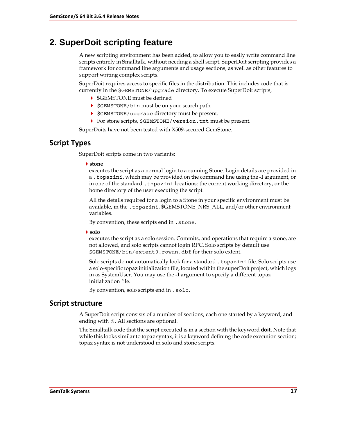# <span id="page-16-0"></span>**2. SuperDoit scripting feature**

A new scripting environment has been added, to allow you to easily write command line scripts entirely in Smalltalk, without needing a shell script. SuperDoit scripting provides a framework for command line arguments and usage sections, as well as other features to support writing complex scripts.

SuperDoit requires access to specific files in the distribution. This includes code that is currently in the \$GEMSTONE/upgrade directory. To execute SuperDoit scripts,

- SGEMSTONE must be defined
- SGEMSTONE/bin must be on your search path
- $\triangleright$  \$GEMSTONE/upgrade directory must be present.
- For stone scripts, \$GEMSTONE/version.txt must be present.

SuperDoits have not been tested with X509-secured GemStone.

## <span id="page-16-1"></span>**Script Types**

SuperDoit scripts come in two variants:

**stone**

executes the script as a normal login to a running Stone. Login details are provided in a .topazini, which may be provided on the command line using the **-I** argument, or in one of the standard .topazini locations: the current working directory, or the home directory of the user executing the script.

All the details required for a login to a Stone in your specific environment must be available, in the .topazini, \$GEMSTONE\_NRS\_ALL, and/or other environment variables.

By convention, these scripts end in .stone.

**solo**

executes the script as a solo session. Commits, and operations that require a stone, are not allowed, and solo scripts cannot login RPC. Solo scripts by default use \$GEMSTONE/bin/extent0.rowan.dbf for their solo extent.

Solo scripts do not automatically look for a standard .topazini file. Solo scripts use a solo-specific topaz initialization file, located within the superDoit project, which logs in as SystemUser. You may use the **-I** argument to specify a different topaz initialization file.

By convention, solo scripts end in .solo.

## <span id="page-16-2"></span>**Script structure**

A SuperDoit script consists of a number of sections, each one started by a keyword, and ending with %. All sections are optional.

The Smalltalk code that the script executed is in a section with the keyword **doit**. Note that while this looks similar to topaz syntax, it is a keyword defining the code execution section; topaz syntax is not understood in solo and stone scripts.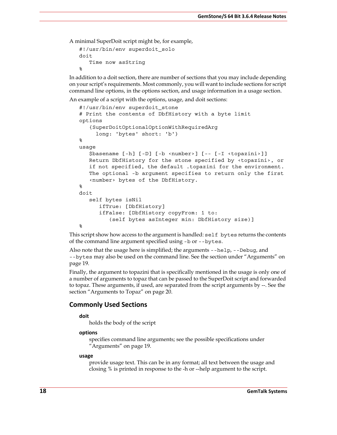A minimal SuperDoit script might be, for example,

```
#!/usr/bin/env superdoit_solo
doit
   Time now asString
%
```
In addition to a doit section, there are number of sections that you may include depending on your script's requirements. Most commonly, you will want to include sections for script command line options, in the options section, and usage information in a usage section.

An example of a script with the options, usage, and doit sections:

```
#!/usr/bin/env superdoit_stone
# Print the contents of DbfHistory with a byte limit
options
   {SuperDoitOptionalOptionWithRequiredArg 
      long: 'bytes' short: 'b'}
%
usage
   $basename [-h] [-D] [-b <number>] [-- [-I <topazini>]]
   Return DbfHistory for the stone specified by <topazini>, or 
   if not specified, the default .topazini for the environment. 
   The optional -b argument specifies to return only the first 
   <number> bytes of the DbfHistory.
%
doit
   self bytes isNil
       ifTrue: [DbfHistory] 
       ifFalse: [DbfHistory copyFrom: 1 to: 
         (self bytes asInteger min: DbfHistory size)]
%
```
This script show how access to the argument is handled: self bytes returns the contents of the command line argument specified using -b or --bytes.

Also note that the usage here is simplified; the arguments --help, --Debug, and --bytes may also be used on the command line. See the section under ["Arguments" on](#page-18-3)  [page](#page-18-3) 19.

Finally, the argument to topazini that is specifically mentioned in the usage is only one of a number of arguments to topaz that can be passed to the SuperDoit script and forwarded to topaz. These arguments, if used, are separated from the script arguments by --. See the section ["Arguments to Topaz" on page](#page-19-2) 20.

#### <span id="page-17-0"></span>**Commonly Used Sections**

#### **doit**

holds the body of the script

#### **options**

specifies command line arguments; see the possible specifications under ["Arguments" on page 19](#page-18-3).

#### **usage**

provide usage text. This can be in any format; all text between the usage and closing % is printed in response to the -h or --help argument to the script.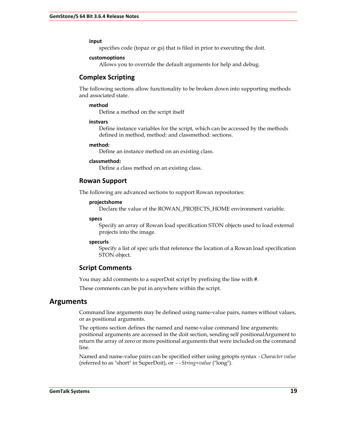#### **input**

specifies code (topaz or gs) that is filed in prior to executing the doit.

#### **customoptions**

Allows you to override the default arguments for help and debug.

#### <span id="page-18-0"></span>**Complex Scripting**

The following sections allow functionality to be broken down into supporting methods and associated state.

#### **method**

Define a method on the script itself

#### **instvars**

Define instance variables for the script, which can be accessed by the methods defined in method, method: and classmethod: sections.

#### **method:**

Define an instance method on an existing class.

#### **classmethod:**

Define a class method on an existing class.

#### <span id="page-18-1"></span>**Rowan Support**

The following are advanced sections to support Rowan repositories:

#### **projectshome**

Declare the value of the ROWAN\_PROJECTS\_HOME environment variable.

#### **specs**

Specify an array of Rowan load specification STON objects used to load external projects into the image.

#### **specurls**

Specify a list of spec urls that reference the location of a Rowan load specification STON object.

#### <span id="page-18-2"></span>**Script Comments**

You may add comments to a superDoit script by prefixing the line with #.

These comments can be put in anywhere within the script.

#### <span id="page-18-3"></span>**Arguments**

Command line arguments may be defined using name-value pairs, names without values, or as positional arguments.

The options section defines the named and name-value command line arguments; positional arguments are accessed in the doit section, sending self positionalArgument to return the array of zero or more positional arguments that were included on the command line.

Named and name-value pairs can be specified either using getopts syntax -*Character value* (referred to as "short" in SuperDoit), or --*String*=*value* ("long").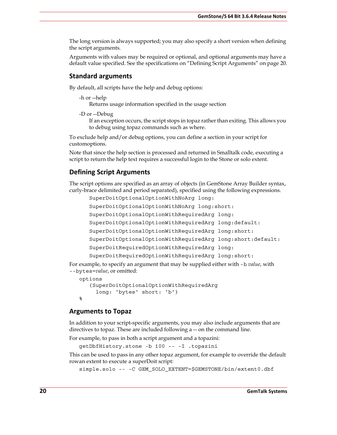The long version is always supported; you may also specify a short version when defining the script arguments.

Arguments with values may be required or optional, and optional arguments may have a default value specified. See the specifications on ["Defining Script Arguments" on page](#page-19-1) 20.

#### <span id="page-19-0"></span>**Standard arguments**

By default, all scripts have the help and debug options:

```
-h or --help
```
Returns usage information specified in the usage section

```
-D or --Debug
```
If an exception occurs, the script stops in topaz rather than exiting. This allows you to debug using topaz commands such as where.

To exclude help and/or debug options, you can define a section in your script for customoptions.

Note that since the help section is processed and returned in Smalltalk code, executing a script to return the help text requires a successful login to the Stone or solo extent.

#### <span id="page-19-1"></span>**Defining Script Arguments**

The script options are specified as an array of objects (in GemStone Array Builder syntax, curly-brace delimited and period separated), specified using the following expressions.

```
SuperDoitOptionalOptionWithNoArg long: 
SuperDoitOptionalOptionWithNoArg long:short: 
SuperDoitOptionalOptionWithRequiredArg long: 
SuperDoitOptionalOptionWithRequiredArg long:default: 
SuperDoitOptionalOptionWithRequiredArg long:short:
SuperDoitOptionalOptionWithRequiredArg long:short:default: 
SuperDoitRequiredOptionWithRequiredArg long:
SuperDoitRequiredOptionWithRequiredArg long:short:
```
For example, to specify an argument that may be supplied either with -b *value*, with --bytes=*value*, or omitted:

```
options
   {SuperDoitOptionalOptionWithRequiredArg 
      long: 'bytes' short: 'b'}
%
```
#### <span id="page-19-2"></span>**Arguments to Topaz**

In addition to your script-specific arguments, you may also include arguments that are directives to topaz. These are included following a -- on the command line.

For example, to pass in both a script argument and a topazini:

```
getDbfHistory.stone -b 100 -- -I .topazini
```
This can be used to pass in any other topaz argument, for example to override the default rowan extent to execute a superDoit script:

simple.solo -- -C GEM\_SOLO\_EXTENT=\$GEMSTONE/bin/extent0.dbf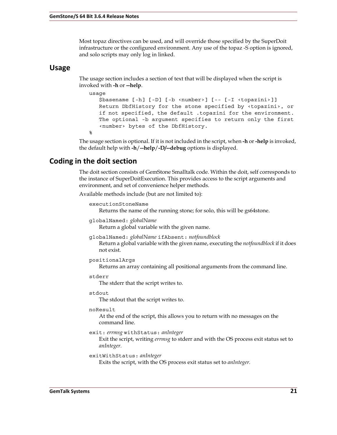Most topaz directives can be used, and will override those specified by the SuperDoit infrastructure or the configured environment. Any use of the topaz -S option is ignored, and solo scripts may only log in linked.

## <span id="page-20-0"></span>**Usage**

The usage section includes a section of text that will be displayed when the script is invoked with **-h** or **--help**.

```
usage
```

```
$basename [-h] [-D] [-b <number>] [-- [-I <topazini>]] 
Return DbfHistory for the stone specified by <topazini>, or 
if not specified, the default .topazini for the environment. 
The optional -b argument specifies to return only the first 
<number> bytes of the DbfHistory.
```
%

The usage section is optional. If it is not included in the script, when **-h** or **-help** is invoked, the default help with **-h**/**--help**/**-D/--debug** options is displayed.

## <span id="page-20-1"></span>**Coding in the doit section**

The doit section consists of GemStone Smalltalk code. Within the doit, self corresponds to the instance of SuperDoitExecution. This provides access to the script arguments and environment, and set of convenience helper methods.

Available methods include (but are not limited to):

```
executionStoneName
```
Returns the name of the running stone; for solo, this will be gs64stone.

globalNamed: *globalName*

Return a global variable with the given name.

globalNamed: *globalName* ifAbsent: *notfoundblock* Return a global variable with the given name, executing the *notfoundblock* if it does not exist.

positionalArgs

Returns an array containing all positional arguments from the command line.

stderr

The stderr that the script writes to.

stdout

The stdout that the script writes to.

#### noResult

At the end of the script, this allows you to return with no messages on the command line.

exit: *errmsg* withStatus: *anInteger*

Exit the script, writing *errmsg* to stderr and with the OS process exit status set to *anInteger.*

#### exitWithStatus: *anInteger*

Exits the script, with the OS process exit status set to *anInteger.*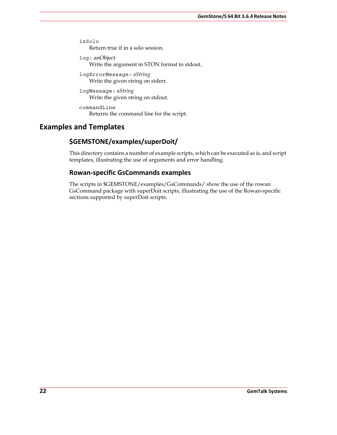isSolo Return true if in a solo session.

log: anObject Write the argument in STON format to stdout.

logErrorMessage: *aString* Write the given string on stderr.

logMessage: *aString* Write the given string on stdout.

commandLine Returns the command line for the script.

## <span id="page-21-0"></span>**Examples and Templates**

## <span id="page-21-1"></span>**\$GEMSTONE/examples/superDoit/**

This directory contains a number of example scripts, which can be executed as is, and script templates, illustrating the use of arguments and error handling.

## <span id="page-21-2"></span>**Rowan-specific GsCommands examples**

The scripts in \$GEMSTONE/examples/GsCommands/ show the use of the rowan GsCommand package with superDoit scripts, illustrating the use of the Rowan-specific sections supported by superDoit scripts.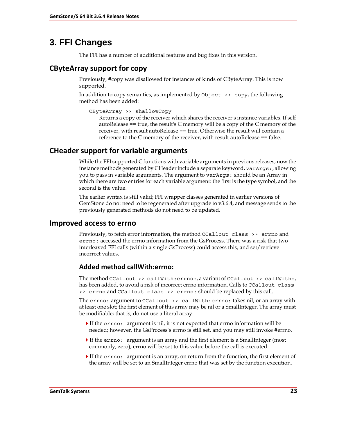# <span id="page-22-0"></span>**3. FFI Changes**

The FFI has a number of additional features and bug fixes in this version.

## <span id="page-22-1"></span>**CByteArray support for copy**

Previously, #copy was disallowed for instances of kinds of CByteArray. This is now supported.

In addition to copy semantics, as implemented by  $\text{Object} \rightarrow \text{copy}$ , the following method has been added:

CByteArray >> shallowCopy

Returns a copy of the receiver which shares the receiver's instance variables. If self autoRelease  $==$  true, the result's C memory will be a copy of the C memory of the receiver, with result autoRelease == true. Otherwise the result will contain a reference to the C memory of the receiver, with result autoRelease == false.

## <span id="page-22-2"></span>**CHeader support for variable arguments**

While the FFI supported C functions with variable arguments in previous releases, now the instance methods generated by CHeader include a separate keyword, varArgs:, allowing you to pass in variable arguments. The argument to varArgs: should be an Array in which there are two entries for each variable argument: the first is the type symbol, and the second is the value.

The earlier syntax is still valid; FFI wrapper classes generated in earlier versions of GemStone do not need to be regenerated after upgrade to v3.6.4, and message sends to the previously generated methods do not need to be updated.

## <span id="page-22-3"></span>**Improved access to errno**

Previously, to fetch error information, the method CCallout class >> errno and errno: accessed the errno information from the GsProcess. There was a risk that two interleaved FFI calls (within a single GsProcess) could access this, and set/retrieve incorrect values.

## <span id="page-22-4"></span>**Added method callWith:errno:**

The method CCallout >> callWith:errno:, a variant of CCallout >> callWith:, has been added, to avoid a risk of incorrect errno information. Calls to CCallout class >> errno and CCallout class >> errno: should be replaced by this call.

The errno: argument to CCallout >> callWith:errno: takes nil, or an array with at least one slot; the first element of this array may be nil or a SmallInteger. The array must be modifiable; that is, do not use a literal array.

- If the errno: argument is nil, it is not expected that errno information will be needed; however, the GsProcess's errno is still set, and you may still invoke #errno.
- If the errno: argument is an array and the first element is a SmallInteger (most commonly, zero), errno will be set to this value before the call is executed.
- If the  $error:$  argument is an array, on return from the function, the first element of the array will be set to an SmallInteger errno that was set by the function execution.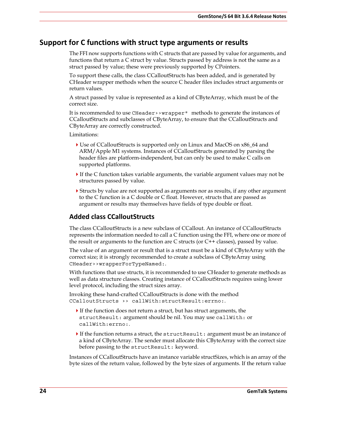## <span id="page-23-0"></span>**Support for C functions with struct type arguments or results**

The FFI now supports functions with C structs that are passed by value for arguments, and functions that return a C struct by value. Structs passed by address is not the same as a struct passed by value; these were previously supported by CPointers.

To support these calls, the class CCalloutStructs has been added, and is generated by CHeader wrapper methods when the source C header files includes struct arguments or return values.

A struct passed by value is represented as a kind of CByteArray, which must be of the correct size.

It is recommended to use CHeader>>wrapper\* methods to generate the instances of CCalloutStructs and subclasses of CByteArray, to ensure that the CCalloutStructs and CByteArray are correctly constructed.

Limitations:

- Use of CCalloutStructs is supported only on Linux and MacOS on x86\_64 and ARM/Apple M1 systems. Instances of CCalloutStructs generated by parsing the header files are platform-independent, but can only be used to make C calls on supported platforms.
- If the C function takes variable arguments, the variable argument values may not be structures passed by value.
- Structs by value are not supported as arguments nor as results, if any other argument to the C function is a C double or C float. However, structs that are passed as argument or results may themselves have fields of type double or float.

## **Added class CCalloutStructs**

The class CCalloutStructs is a new subclass of CCallout. An instance of CCalloutStructs represents the information needed to call a C function using the FFI, where one or more of the result or arguments to the function are C structs (or C++ classes), passed by value.

The value of an argument or result that is a struct must be a kind of CByteArray with the correct size; it is strongly recommended to create a subclass of CByteArray using CHeader>>wrapperForTypeNamed:.

With functions that use structs, it is recommended to use CHeader to generate methods as well as data structure classes. Creating instance of CCalloutStructs requires using lower level protocol, including the struct sizes array.

Invoking these hand-crafted CCalloutStructs is done with the method CCalloutStructs >> callWith:structResult:errno:.

- If the function does not return a struct, but has struct arguments, the structResult: argument should be nil. You may use callWith: or callWith:errno:.
- If the function returns a struct, the structResult: argument must be an instance of a kind of CByteArray. The sender must allocate this CByteArray with the correct size before passing to the structResult: keyword.

Instances of CCalloutStructs have an instance variable structSizes, which is an array of the byte sizes of the return value, followed by the byte sizes of arguments. If the return value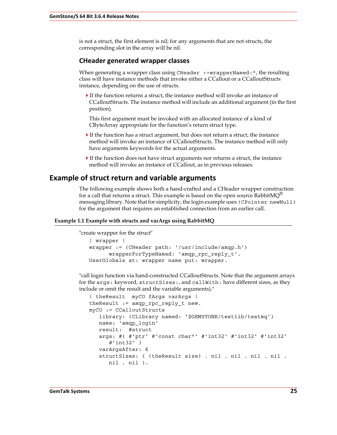is not a struct, the first element is nil; for any arguments that are not structs, the corresponding slot in the array will be nil.

## <span id="page-24-0"></span>**CHeader generated wrapper classes**

When generating a wrapper class using CHeader >>wrapperNamed: \*, the resulting class will have instance methods that invoke either a CCallout or a CCalloutStructs instance, depending on the use of structs.

If the function returns a struct, the instance method will invoke an instance of CCalloutStructs. The instance method will include an additional argument (in the first position).

This first argument must be invoked with an allocated instance of a kind of CByteArray appropriate for the function's return struct type.

- If the function has a struct argument, but does not return a struct, the instance method will invoke an instance of CCalloutStructs. The instance method will only have arguments keywords for the actual arguments.
- If the function does not have struct arguments nor returns a struct, the instance method will invoke an instance of CCallout, as in previous releases.

## <span id="page-24-1"></span>**Example of struct return and variable arguments**

The following example shows both a hand-crafted and a CHeader wrapper construction for a call that returns a struct. This example is based on the open source Rabbit $MO^{\omega}$ messaging library. Note that for simplicity, the login example uses (CPointer newNull) for the argument that requires an established connection from an earlier call.

#### **Example 1.1 Example with structs and varArgs using RabbitMQ**

```
"create wrapper for the struct"
```

```
| wrapper |
wrapper := (CHeader path: '/usr/include/amqp.h') 
      wrapperForTypeNamed: 'amqp_rpc_reply_t'.
UserGlobals at: wrapper name put: wrapper.
```
"call login function via hand-constructed CCalloutStructs. Note that the argument arrays for the args: keyword, structSizes:, and callWith: have different sizes, as they include or omit the result and the variable arguments)."

```
| theResult myCO fArgs varArgs |
theResult := amqp_rpc_reply_t new.
myCO := CCalloutStructs 
   library: (CLibrary named: '$GEMSTONE/testlib/testmq')
   name: 'amqp_login'
    result: #struct 
    args: #( #'ptr' #'const char*' #'int32' #'int32' #'int32' 
      #'int32' )
   varArgsAfter: 6
   structSizes: { (theResult size) . nil . nil . nil . nil . 
      nil . nil ).
```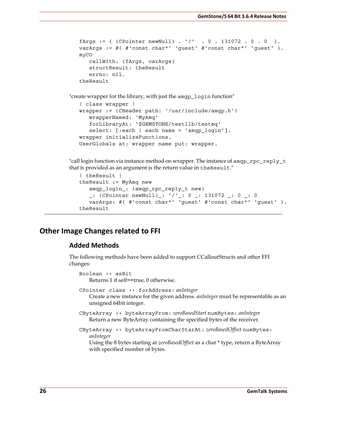```
fArgs := { (CPointer newNull) . '/' . 0 . 131072 . 0 . 0 }.
   varArgs := #( #'const char*' 'guest' #'const char*' 'guest' ).
   myCO 
      callWith: (fArgs, varArgs) 
      structResult: theResult 
      errno: nil.
   theResult 
"create wrapper for the library, with just the amqp_login function"
   | class wrapper |
  wrapper := (CHeader path: '/usr/include/amqp.h')
      wrapperNamed: 'MyAmq'
      forLibraryAt: '$GEMSTONE/testlib/testmq'
      select: [:each | each name = 'amqp login'].
```
"call login function via instance method on wrapper. The instance of  $amp\_rpc\_reply\_t$ that is provided as an argument is the return value in theResult."

```
| theResult |
theResult := MyAmq new
  amqp_login_: (amqp_rpc_reply_t new)
  _: (CPointer newNull)_: '/'_: 0 _: 131072 _: 0 _: 0 
  varArgs: #( #'const char*' 'guest' #'const char*' 'guest' ).
theResult
```
## <span id="page-25-0"></span>**Other Image Changes related to FFI**

wrapper initializeFunctions.

UserGlobals at: wrapper name put: wrapper.

#### <span id="page-25-1"></span>**Added Methods**

The following methods have been added to support CCalloutStructs and other FFI changes:

```
Boolean >> asBit
    Returns 1 if self==true, 0 otherwise.
CPointer class >> forAddress: anInteger
    Create a new instance for the given address. anInteger must be representable as an 
    unsigned 64bit integer.
CByteArray >> byteArrayFrom: zeroBasedStart numBytes: anInteger
    Return a new ByteArray containing the specified bytes of the receiver.
CByteArray >> byteArrayFromCharStarAt: zeroBasedOffset numBytes:
    anInteger
    Using the 8 bytes starting at zeroBasedOffset as a char * type, return a ByteArray 
    with specified number of bytes.
```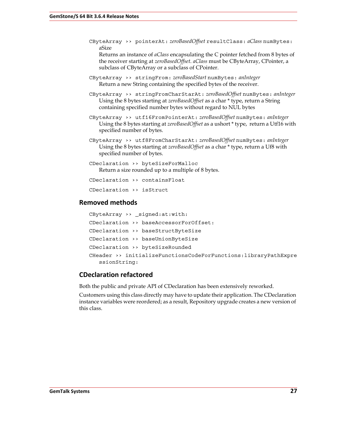CByteArray >> pointerAt: *zeroBasedOffset* resultClass: *aClass* numBytes: aSize

Returns an instance of *aClass* encapsulating the C pointer fetched from 8 bytes of the receiver starting at *zeroBasedOffset*. *aClass* must be CByteArray, CPointer, a subclass of CByteArray or a subclass of CPointer.

CByteArray >> stringFrom: *zeroBasedStart* numBytes: *anInteger* Return a new String containing the specified bytes of the receiver.

CByteArray >> stringFromCharStarAt: *zeroBasedOffset* numBytes: *anInteger* Using the 8 bytes starting at *zeroBasedOffset* as a char \* type, return a String containing specified number bytes without regard to NUL bytes

- CByteArray >> utf16FromPointerAt: *zeroBasedOffset* numBytes: *anInteger* Using the 8 bytes starting at *zeroBasedOffset* as a ushort \* type, return a Utf16 with specified number of bytes.
- CByteArray >> utf8FromCharStarAt: *zeroBasedOffset* numBytes: *anInteger* Using the 8 bytes starting at *zeroBasedOffset* as a char \* type, return a Uf8 with specified number of bytes.
- CDeclaration >> byteSizeForMalloc Return a size rounded up to a multiple of 8 bytes.
- CDeclaration >> containsFloat

CDeclaration >> isStruct

### <span id="page-26-0"></span>**Removed methods**

```
CByteArray >> _signed:at:with:
CDeclaration >> baseAccessorForOffset:
CDeclaration >> baseStructByteSize
CDeclaration >> baseUnionByteSize
CDeclaration >> byteSizeRounded
CHeader >> initializeFunctionsCodeForFunctions:libraryPathExpre
   ssionString:
```
#### <span id="page-26-1"></span>**CDeclaration refactored**

Both the public and private API of CDeclaration has been extensively reworked.

Customers using this class directly may have to update their application. The CDeclaration instance variables were reordered; as a result, Repository upgrade creates a new version of this class.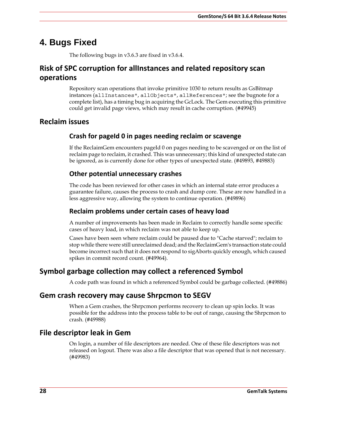## <span id="page-27-0"></span>**4. Bugs Fixed**

The following bugs in v3.6.3 are fixed in v3.6.4.

## <span id="page-27-1"></span>**Risk of SPC corruption for allInstances and related repository scan operations**

Repository scan operations that invoke primitive 1030 to return results as GsBitmap instances (allInstances\*, allObjects\*, allReferences\*; see the bugnote for a complete list), has a timing bug in acquiring the GcLock. The Gem executing this primitive could get invalid page views, which may result in cache corruption. (#49945)

## <span id="page-27-2"></span>**Reclaim issues**

## <span id="page-27-3"></span>**Crash for pageId 0 in pages needing reclaim or scavenge**

If the ReclaimGem encounters pageId 0 on pages needing to be scavenged or on the list of reclaim page to reclaim, it crashed. This was unnecessary; this kind of unexpected state can be ignored, as is currently done for other types of unexpected state. (#49893, #49883)

## <span id="page-27-4"></span>**Other potential unnecessary crashes**

The code has been reviewed for other cases in which an internal state error produces a guarantee failure, causes the process to crash and dump core. These are now handled in a less aggressive way, allowing the system to continue operation. (#49896)

## <span id="page-27-5"></span>**Reclaim problems under certain cases of heavy load**

A number of improvements has been made in Reclaim to correctly handle some specific cases of heavy load, in which reclaim was not able to keep up.

Cases have been seen where reclaim could be paused due to "Cache starved"; reclaim to stop while there were still unreclaimed dead; and the ReclaimGem's transaction state could become incorrect such that it does not respond to sigAborts quickly enough, which caused spikes in commit record count. (#49964).

## <span id="page-27-6"></span>**Symbol garbage collection may collect a referenced Symbol**

A code path was found in which a referenced Symbol could be garbage collected. (#49886)

## <span id="page-27-7"></span>**Gem crash recovery may cause Shrpcmon to SEGV**

When a Gem crashes, the Shrpcmon performs recovery to clean up spin locks. It was possible for the address into the process table to be out of range, causing the Shrpcmon to crash. (#49988)

## <span id="page-27-8"></span>**File descriptor leak in Gem**

On login, a number of file descriptors are needed. One of these file descriptors was not released on logout. There was also a file descriptor that was opened that is not necessary. (#49983)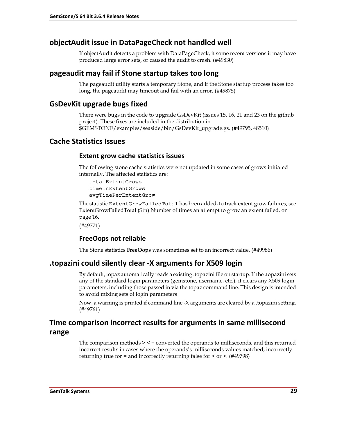## <span id="page-28-0"></span>**objectAudit issue in DataPageCheck not handled well**

If objectAudit detects a problem with DataPageCheck, it some recent versions it may have produced large error sets, or caused the audit to crash. (#49830)

## <span id="page-28-1"></span>**pageaudit may fail if Stone startup takes too long**

The pageaudit utility starts a temporary Stone, and if the Stone startup process takes too long, the pageaudit may timeout and fail with an error. (#49875)

## <span id="page-28-2"></span>**GsDevKit upgrade bugs fixed**

There were bugs in the code to upgrade GsDevKit (issues 15, 16, 21 and 23 on the github project). These fixes are included in the distribution in \$GEMSTONE/examples/seaside/bin/GsDevKit\_upgrade.gs. (#49795, 48510)

## <span id="page-28-3"></span>**Cache Statistics Issues**

## <span id="page-28-4"></span>**Extent grow cache statistics issues**

The following stone cache statistics were not updated in some cases of grows initiated internally. The affected statistics are:

```
totalExtentGrows
timeInExtentGrows
avgTimePerExtentGrow
```
The statistic ExtentGrowFailedTotal has been added, to track extent grow failures; see [ExtentGrowFailedTotal \(Stn\) Number of times an attempt to grow an extent failed. on](#page-15-5)  [page](#page-15-5) 16.

(#49771)

## <span id="page-28-5"></span>**FreeOops not reliable**

The Stone statistics **FreeOops** was sometimes set to an incorrect value. (#49986)

## <span id="page-28-6"></span>**.topazini could silently clear -X arguments for X509 login**

By default, topaz automatically reads a existing .topazini file on startup. If the .topazini sets any of the standard login parameters (gemstone, username, etc.), it clears any X509 login parameters, including those passed in via the topaz command line. This design is intended to avoid mixing sets of login parameters

Now, a warning is printed if command line -X arguments are cleared by a .topazini setting. (#49761)

## <span id="page-28-7"></span>**Time comparison incorrect results for arguments in same millisecond range**

The comparison methods > < = converted the operands to milliseconds, and this returned incorrect results in cases where the operands's milliseconds values matched; incorrectly returning true for  $=$  and incorrectly returning false for  $\le$  or  $\ge$ . (#49798)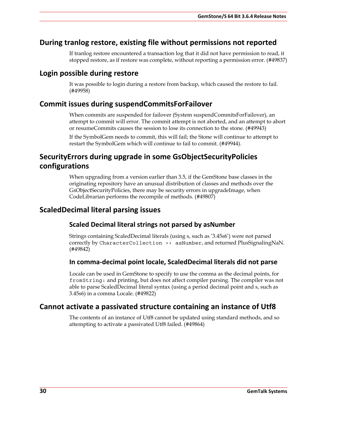## <span id="page-29-0"></span>**During tranlog restore, existing file without permissions not reported**

If tranlog restore encountered a transaction log that it did not have permission to read, it stopped restore, as if restore was complete, without reporting a permission error. (#49837)

## <span id="page-29-1"></span>**Login possible during restore**

It was possible to login during a restore from backup, which caused the restore to fail. (#49958)

## <span id="page-29-2"></span>**Commit issues during suspendCommitsForFailover**

When commits are suspended for failover (System suspendCommitsForFailover), an attempt to commit will error. The commit attempt is not aborted, and an attempt to abort or resumeCommits causes the session to lose its connection to the stone. (#49943)

If the SymbolGem needs to commit, this will fail; the Stone will continue to attempt to restart the SymbolGem which will continue to fail to commit. (#49944).

## <span id="page-29-3"></span>**SecurityErrors during upgrade in some GsObjectSecurityPolicies configurations**

When upgrading from a version earlier than 3.5, if the GemStone base classes in the originating repository have an unusual distribution of classes and methods over the GsObjectSecurityPolicies, there may be security errors in upgradeImage, when CodeLibrarian performs the recompile of methods. (#49807)

## <span id="page-29-4"></span>**ScaledDecimal literal parsing issues**

## <span id="page-29-5"></span>**Scaled Decimal literal strings not parsed by asNumber**

Strings containing ScaledDecimal literals (using s, such as '3.45s6') were not parsed correctly by CharacterCollection >> asNumber, and returned PlusSignalingNaN. (#49842)

## <span id="page-29-6"></span>**In comma-decimal point locale, ScaledDecimal literals did not parse**

Locale can be used in GemStone to specify to use the comma as the decimal points, for fromString: and printing, but does not affect compiler parsing. The compiler was not able to parse ScaledDecimal literal syntax (using a period decimal point and s, such as 3.45s6) in a comma Locale. (#49822)

## <span id="page-29-7"></span>**Cannot activate a passivated structure containing an instance of Utf8**

The contents of an instance of Utf8 cannot be updated using standard methods, and so attempting to activate a passivated Utf8 failed. (#49864)